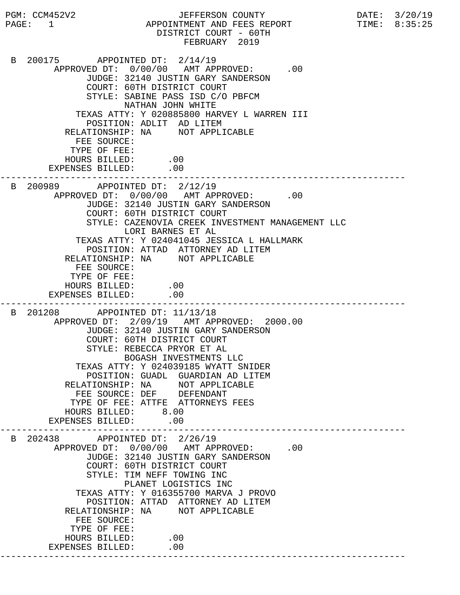PGM: CCM452V2 JEFFERSON COUNTY DATE: 3/20/19 PAGE: 1 APPOINTMENT AND FEES REPORT TIME: 8:35:25 DISTRICT COURT - 60TH FEBRUARY 2019 B 200175 APPOINTED DT: 2/14/19 APPROVED DT:  $0/00/00$  AMT APPROVED: .00 JUDGE: 32140 JUSTIN GARY SANDERSON COURT: 60TH DISTRICT COURT STYLE: SABINE PASS ISD C/O PBFCM NATHAN JOHN WHITE TEXAS ATTY: Y 020885800 HARVEY L WARREN III POSITION: ADLIT AD LITEM RELATIONSHIP: NA NOT APPLICABLE FEE SOURCE: TYPE OF FEE: HOURS BILLED: .00 EXPENSES BILLED: .00 --------------------------------------------------------------------------- B 200989 APPOINTED DT: 2/12/19 APPROVED DT:  $0/00/00$  AMT APPROVED: .00 JUDGE: 32140 JUSTIN GARY SANDERSON COURT: 60TH DISTRICT COURT STYLE: CAZENOVIA CREEK INVESTMENT MANAGEMENT LLC LORI BARNES ET AL TEXAS ATTY: Y 024041045 JESSICA L HALLMARK POSITION: ATTAD ATTORNEY AD LITEM RELATIONSHIP: NA NOT APPLICABLE FEE SOURCE: TYPE OF FEE: HOURS BILLED: .00 EXPENSES BILLED: .00 --------------------------------------------------------------------------- B 201208 APPOINTED DT: 11/13/18 APPROVED DT: 2/09/19 AMT APPROVED: 2000.00 JUDGE: 32140 JUSTIN GARY SANDERSON COURT: 60TH DISTRICT COURT STYLE: REBECCA PRYOR ET AL BOGASH INVESTMENTS LLC TEXAS ATTY: Y 024039185 WYATT SNIDER POSITION: GUADL GUARDIAN AD LITEM RELATIONSHIP: NA NOT APPLICABLE FEE SOURCE: DEF DEFENDANT TYPE OF FEE: ATTFE ATTORNEYS FEES HOURS BILLED: 8.00 EXPENSES BILLED: .00 --------------------------------------------------------------------------- B 202438 APPOINTED DT: 2/26/19 APPROVED DT:  $0/00/00$  AMT APPROVED: .00 JUDGE: 32140 JUSTIN GARY SANDERSON COURT: 60TH DISTRICT COURT STYLE: TIM NEFF TOWING INC PLANET LOGISTICS INC TEXAS ATTY: Y 016355700 MARVA J PROVO POSITION: ATTAD ATTORNEY AD LITEM RELATIONSHIP: NA NOT APPLICABLE FEE SOURCE: TYPE OF FEE: HOURS BILLED: .00 EXPENSES BILLED: .00 ---------------------------------------------------------------------------